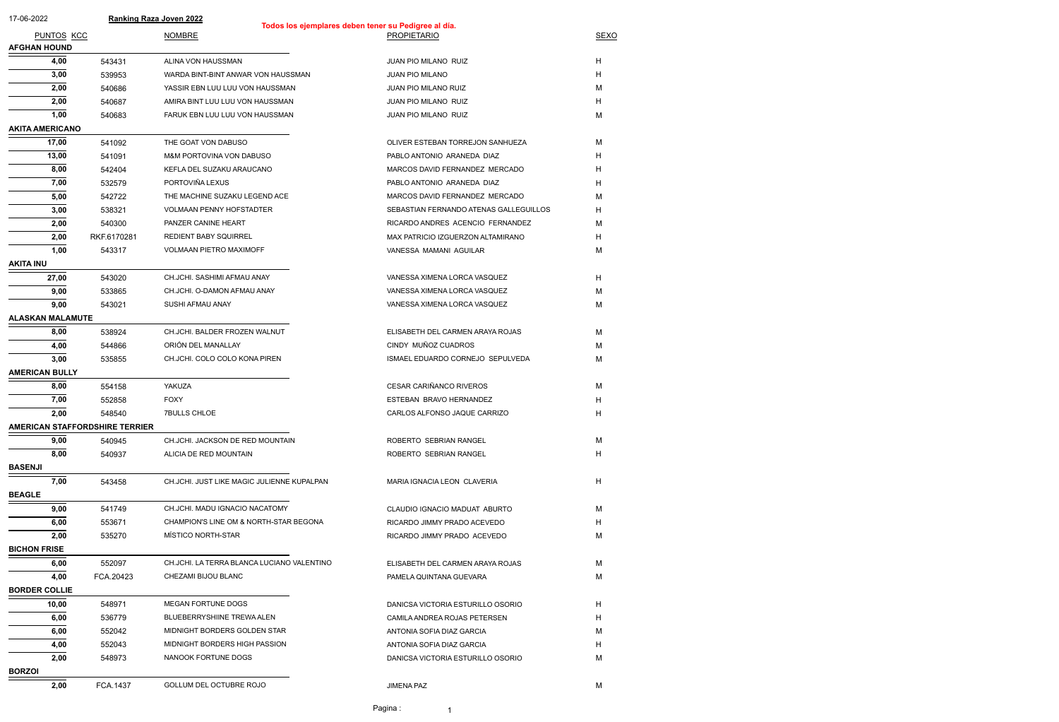| 17-06-2022                            |             | <b>Ranking Raza Joven 2022</b>             | Todos los ejemplares deben tener su Pedigree al día. |             |
|---------------------------------------|-------------|--------------------------------------------|------------------------------------------------------|-------------|
| PUNTOS KCC                            |             | <b>NOMBRE</b>                              | <b>PROPIETARIO</b>                                   | <b>SEXO</b> |
| <b>AFGHAN HOUND</b>                   |             |                                            |                                                      |             |
| 4,00                                  | 543431      | ALINA VON HAUSSMAN                         | JUAN PIO MILANO RUIZ                                 | H           |
| 3,00                                  | 539953      | WARDA BINT-BINT ANWAR VON HAUSSMAN         | <b>JUAN PIO MILANO</b>                               | H           |
| 2,00                                  | 540686      | YASSIR EBN LUU LUU VON HAUSSMAN            | JUAN PIO MILANO RUIZ                                 | м           |
| 2,00                                  | 540687      | AMIRA BINT LUU LUU VON HAUSSMAN            | JUAN PIO MILANO RUIZ                                 | H           |
| 1,00                                  | 540683      | FARUK EBN LUU LUU VON HAUSSMAN             | JUAN PIO MILANO RUIZ                                 | М           |
| <b>AKITA AMERICANO</b>                |             |                                            |                                                      |             |
| 17,00                                 | 541092      | THE GOAT VON DABUSO                        | OLIVER ESTEBAN TORREJON SANHUEZA                     | М           |
| 13,00                                 | 541091      | M&M PORTOVINA VON DABUSO                   | PABLO ANTONIO ARANEDA DIAZ                           | H           |
| 8,00                                  | 542404      | KEFLA DEL SUZAKU ARAUCANO                  | MARCOS DAVID FERNANDEZ MERCADO                       | H           |
| 7,00                                  | 532579      | PORTOVIÑA LEXUS                            | PABLO ANTONIO ARANEDA DIAZ                           | H           |
| 5,00                                  | 542722      | THE MACHINE SUZAKU LEGEND ACE              | MARCOS DAVID FERNANDEZ MERCADO                       | M           |
| 3,00                                  | 538321      | <b>VOLMAAN PENNY HOFSTADTER</b>            | SEBASTIAN FERNANDO ATENAS GALLEGUILLOS               | H           |
| 2,00                                  | 540300      | PANZER CANINE HEART                        | RICARDO ANDRES ACENCIO FERNANDEZ                     | м           |
| 2,00                                  | RKF.6170281 | <b>REDIENT BABY SQUIRREL</b>               | MAX PATRICIO IZGUERZON ALTAMIRANO                    | H           |
| 1,00                                  | 543317      | VOLMAAN PIETRO MAXIMOFF                    | VANESSA MAMANI AGUILAR                               | М           |
| <b>AKITA INU</b>                      |             |                                            |                                                      |             |
| 27,00                                 | 543020      | CH.JCHI. SASHIMI AFMAU ANAY                | VANESSA XIMENA LORCA VASQUEZ                         | H           |
| 9,00                                  | 533865      | CH.JCHI. O-DAMON AFMAU ANAY                | VANESSA XIMENA LORCA VASQUEZ                         | М           |
| 9,00                                  | 543021      | SUSHI AFMAU ANAY                           | VANESSA XIMENA LORCA VASQUEZ                         | М           |
| <b>ALASKAN MALAMUTE</b>               |             |                                            |                                                      |             |
| 8,00                                  | 538924      | CH.JCHI. BALDER FROZEN WALNUT              | ELISABETH DEL CARMEN ARAYA ROJAS                     | M           |
| 4,00                                  | 544866      | ORIÓN DEL MANALLAY                         | CINDY MUÑOZ CUADROS                                  | м           |
| 3,00                                  | 535855      | CH.JCHI. COLO COLO KONA PIREN              | ISMAEL EDUARDO CORNEJO SEPULVEDA                     | M           |
| <b>AMERICAN BULLY</b>                 |             |                                            |                                                      |             |
| 8,00                                  | 554158      | YAKUZA                                     | CESAR CARIÑANCO RIVEROS                              | M           |
| 7,00                                  | 552858      | <b>FOXY</b>                                | ESTEBAN BRAVO HERNANDEZ                              | H.          |
| 2,00                                  | 548540      | <b>7BULLS CHLOE</b>                        | CARLOS ALFONSO JAQUE CARRIZO                         | H           |
| <b>AMERICAN STAFFORDSHIRE TERRIER</b> |             |                                            |                                                      |             |
| 9,00                                  | 540945      | CH.JCHI. JACKSON DE RED MOUNTAIN           | ROBERTO SEBRIAN RANGEL                               | M           |
| 8,00                                  | 540937      | ALICIA DE RED MOUNTAIN                     | ROBERTO SEBRIAN RANGEL                               | H           |
| <b>BASENJI</b>                        |             |                                            |                                                      |             |
| 7,00                                  | 543458      | CH.JCHI. JUST LIKE MAGIC JULIENNE KUPALPAN | MARIA IGNACIA LEON CLAVERIA                          | H           |
| <b>BEAGLE</b>                         |             |                                            |                                                      |             |
| 9,00                                  | 541749      | CH.JCHI. MADU IGNACIO NACATOMY             | CLAUDIO IGNACIO MADUAT ABURTO                        | М           |
| 6,00                                  | 553671      | CHAMPION'S LINE OM & NORTH-STAR BEGONA     | RICARDO JIMMY PRADO ACEVEDO                          | H           |
| 2,00                                  | 535270      | MÍSTICO NORTH-STAR                         | RICARDO JIMMY PRADO ACEVEDO                          | м           |
| <b>BICHON FRISE</b>                   |             |                                            |                                                      |             |
| 6,00                                  | 552097      | CH.JCHI. LA TERRA BLANCA LUCIANO VALENTINO | ELISABETH DEL CARMEN ARAYA ROJAS                     | M           |
| 4,00                                  | FCA.20423   | CHEZAMI BIJOU BLANC                        | PAMELA QUINTANA GUEVARA                              | М           |
| <b>BORDER COLLIE</b>                  |             |                                            |                                                      |             |
| 10,00                                 | 548971      | MEGAN FORTUNE DOGS                         | DANICSA VICTORIA ESTURILLO OSORIO                    | H.          |
| 6,00                                  | 536779      | BLUEBERRYSHIINE TREWA ALEN                 | CAMILA ANDREA ROJAS PETERSEN                         | H           |
| 6,00                                  | 552042      | MIDNIGHT BORDERS GOLDEN STAR               | ANTONIA SOFIA DIAZ GARCIA                            | м           |
| 4,00                                  | 552043      | MIDNIGHT BORDERS HIGH PASSION              | ANTONIA SOFIA DIAZ GARCIA                            | H           |
| 2,00                                  | 548973      | NANOOK FORTUNE DOGS                        | DANICSA VICTORIA ESTURILLO OSORIO                    | М           |
| <b>BORZOI</b>                         |             |                                            |                                                      |             |
| 2,00                                  | FCA.1437    | GOLLUM DEL OCTUBRE ROJO                    | <b>JIMENA PAZ</b>                                    | M           |

Pagina : 1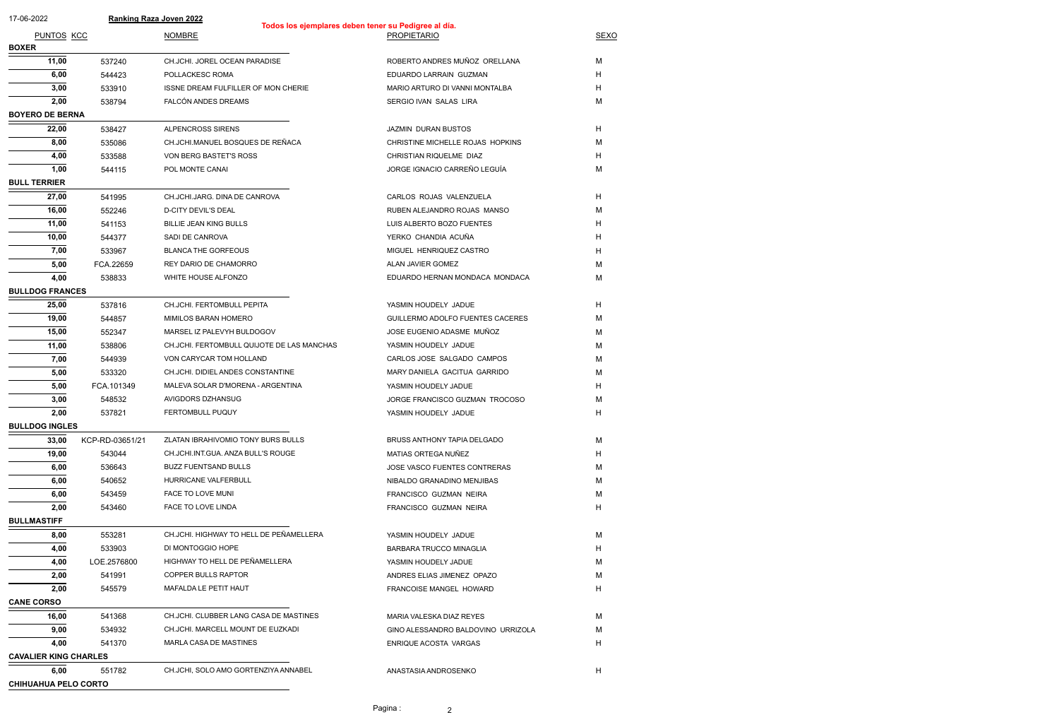| 17-06-2022                   |                 | <b>Ranking Raza Joven 2022</b>             |                                                      |                                    |             |
|------------------------------|-----------------|--------------------------------------------|------------------------------------------------------|------------------------------------|-------------|
| <b>PUNTOS KCC</b>            |                 | <b>NOMBRE</b>                              | Todos los ejemplares deben tener su Pedigree al día. | <b>PROPIETARIO</b>                 | <b>SEXO</b> |
| <b>BOXER</b>                 |                 |                                            |                                                      |                                    |             |
| 11,00                        | 537240          | CH.JCHI. JOREL OCEAN PARADISE              |                                                      | ROBERTO ANDRES MUÑOZ ORELLANA      | M           |
| 6,00                         | 544423          | POLLACKESC ROMA                            |                                                      | EDUARDO LARRAIN GUZMAN             | H           |
| 3,00                         | 533910          | ISSNE DREAM FULFILLER OF MON CHERIE        |                                                      | MARIO ARTURO DI VANNI MONTALBA     | H           |
| 2,00                         | 538794          | FALCÓN ANDES DREAMS                        |                                                      | SERGIO IVAN SALAS LIRA             | M           |
| <b>BOYERO DE BERNA</b>       |                 |                                            |                                                      |                                    |             |
| 22,00                        | 538427          | ALPENCROSS SIRENS                          |                                                      | JAZMIN DURAN BUSTOS                | H           |
| 8,00                         | 535086          | CH.JCHI.MANUEL BOSQUES DE REÑACA           |                                                      | CHRISTINE MICHELLE ROJAS HOPKINS   | M           |
| 4,00                         | 533588          | VON BERG BASTET'S ROSS                     |                                                      | CHRISTIAN RIQUELME DIAZ            | H           |
| 1,00                         | 544115          | POL MONTE CANAI                            |                                                      | JORGE IGNACIO CARREÑO LEGUÍA       | M           |
| <b>BULL TERRIER</b>          |                 |                                            |                                                      |                                    |             |
| 27,00                        | 541995          | CH.JCHI.JARG. DINA DE CANROVA              |                                                      | CARLOS ROJAS VALENZUELA            | H           |
| 16,00                        | 552246          | D-CITY DEVIL'S DEAL                        |                                                      | RUBEN ALEJANDRO ROJAS MANSO        | M           |
| 11,00                        | 541153          | <b>BILLIE JEAN KING BULLS</b>              |                                                      | LUIS ALBERTO BOZO FUENTES          | H           |
| 10,00                        | 544377          | SADI DE CANROVA                            |                                                      | YERKO CHANDIA ACUÑA                | H           |
| 7,00                         | 533967          | <b>BLANCA THE GORFEOUS</b>                 |                                                      | MIGUEL HENRIQUEZ CASTRO            | H           |
| 5,00                         | FCA.22659       | REY DARIO DE CHAMORRO                      |                                                      | ALAN JAVIER GOMEZ                  | M           |
| 4,00                         | 538833          | WHITE HOUSE ALFONZO                        |                                                      | EDUARDO HERNAN MONDACA MONDACA     | M           |
| <b>BULLDOG FRANCES</b>       |                 |                                            |                                                      |                                    |             |
| 25,00                        | 537816          | CH.JCHI. FERTOMBULL PEPITA                 |                                                      | YASMIN HOUDELY JADUE               | H           |
| 19,00                        | 544857          | MIMILOS BARAN HOMERO                       |                                                      | GUILLERMO ADOLFO FUENTES CACERES   | M           |
| 15,00                        | 552347          | MARSEL IZ PALEVYH BULDOGOV                 |                                                      | JOSE EUGENIO ADASME MUÑOZ          | M           |
| 11,00                        | 538806          | CH.JCHI. FERTOMBULL QUIJOTE DE LAS MANCHAS |                                                      | YASMIN HOUDELY JADUE               | M           |
| 7,00                         | 544939          | VON CARYCAR TOM HOLLAND                    |                                                      | CARLOS JOSE SALGADO CAMPOS         | M           |
| 5,00                         | 533320          | CH.JCHI. DIDIEL ANDES CONSTANTINE          |                                                      | MARY DANIELA GACITUA GARRIDO       | M           |
| 5,00                         | FCA.101349      | MALEVA SOLAR D'MORENA - ARGENTINA          |                                                      | YASMIN HOUDELY JADUE               | H           |
| 3,00                         | 548532          | AVIGDORS DZHANSUG                          |                                                      | JORGE FRANCISCO GUZMAN TROCOSO     | M           |
| 2,00                         | 537821          | <b>FERTOMBULL PUQUY</b>                    |                                                      | YASMIN HOUDELY JADUE               | H           |
| <b>BULLDOG INGLES</b>        |                 |                                            |                                                      |                                    |             |
| 33,00                        | KCP-RD-03651/21 | ZLATAN IBRAHIVOMIO TONY BURS BULLS         |                                                      | BRUSS ANTHONY TAPIA DELGADO        | M           |
| 19,00                        | 543044          | CH.JCHI.INT.GUA. ANZA BULL'S ROUGE         |                                                      | MATIAS ORTEGA NUÑEZ                | H           |
| 6,00                         | 536643          | <b>BUZZ FUENTSAND BULLS</b>                |                                                      | JOSE VASCO FUENTES CONTRERAS       | M           |
| 6,00                         | 540652          | HURRICANE VALFERBULL                       |                                                      | NIBALDO GRANADINO MENJIBAS         | M           |
| 6,00                         | 543459          | FACE TO LOVE MUNI                          |                                                      | FRANCISCO GUZMAN NEIRA             | M           |
| 2,00                         | 543460          | FACE TO LOVE LINDA                         |                                                      | FRANCISCO GUZMAN NEIRA             | H           |
| <b>BULLMASTIFF</b>           |                 |                                            |                                                      |                                    |             |
| 8,00                         | 553281          | CH.JCHI. HIGHWAY TO HELL DE PEÑAMELLERA    |                                                      | YASMIN HOUDELY JADUE               | M           |
| 4,00                         | 533903          | DI MONTOGGIO HOPE                          |                                                      | BARBARA TRUCCO MINAGLIA            | H           |
| 4,00                         | LOE.2576800     | HIGHWAY TO HELL DE PEÑAMELLERA             |                                                      | YASMIN HOUDELY JADUE               | M           |
| 2,00                         | 541991          | COPPER BULLS RAPTOR                        |                                                      | ANDRES ELIAS JIMENEZ OPAZO         | M           |
| 2,00                         | 545579          | MAFALDA LE PETIT HAUT                      |                                                      | FRANCOISE MANGEL HOWARD            | H           |
| <b>CANE CORSO</b>            |                 |                                            |                                                      |                                    |             |
| 16,00                        | 541368          | CH.JCHI. CLUBBER LANG CASA DE MASTINES     |                                                      | MARIA VALESKA DIAZ REYES           | M           |
| 9,00                         | 534932          | CH.JCHI. MARCELL MOUNT DE EUZKADI          |                                                      | GINO ALESSANDRO BALDOVINO URRIZOLA | M           |
| 4,00                         | 541370          | MARLA CASA DE MASTINES                     |                                                      | ENRIQUE ACOSTA VARGAS              | H           |
| <b>CAVALIER KING CHARLES</b> |                 |                                            |                                                      |                                    |             |
| 6,00                         | 551782          | CH.JCHI, SOLO AMO GORTENZIYA ANNABEL       |                                                      | ANASTASIA ANDROSENKO               | H           |
| <b>CHIHUAHUA PELO CORTO</b>  |                 |                                            |                                                      |                                    |             |

Pagina : 2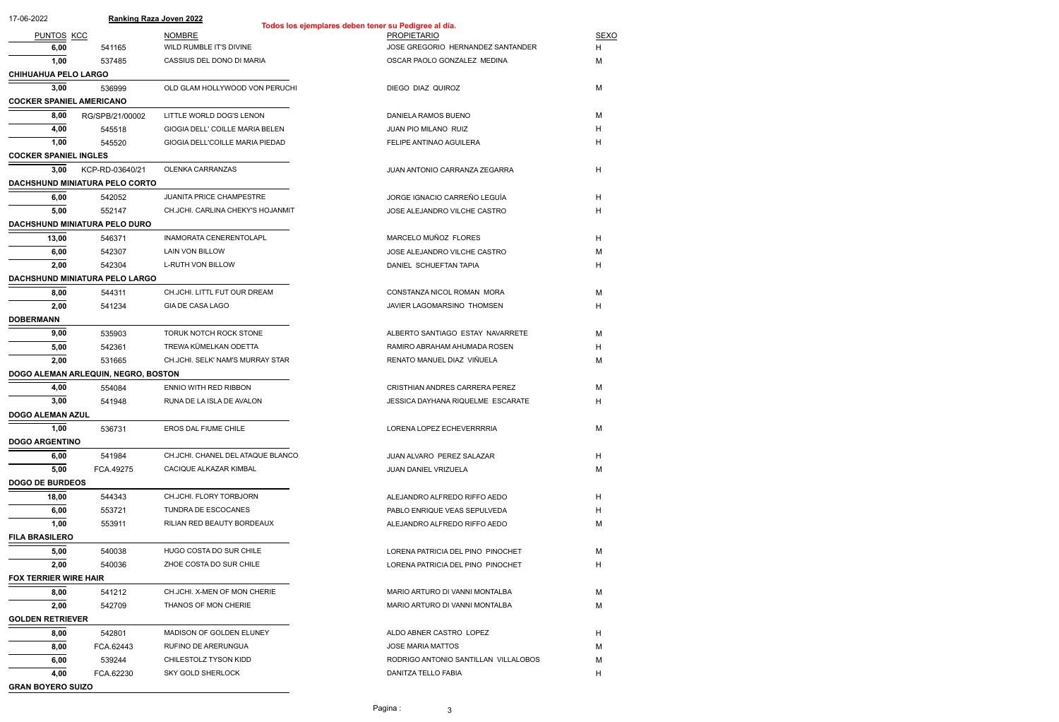| 17-06-2022                      |                                       | <b>Ranking Raza Joven 2022</b>    | Todos los ejemplares deben tener su Pedigree al día. |             |  |  |  |
|---------------------------------|---------------------------------------|-----------------------------------|------------------------------------------------------|-------------|--|--|--|
| <b>PUNTOS KCC</b>               |                                       | <b>NOMBRE</b>                     | <b>PROPIETARIO</b>                                   | <b>SEXO</b> |  |  |  |
| 6,00                            | 541165                                | WILD RUMBLE IT'S DIVINE           | JOSE GREGORIO HERNANDEZ SANTANDER                    | H           |  |  |  |
| 1,00                            | 537485                                | CASSIUS DEL DONO DI MARIA         | OSCAR PAOLO GONZALEZ MEDINA                          | M           |  |  |  |
| <b>CHIHUAHUA PELO LARGO</b>     |                                       |                                   |                                                      |             |  |  |  |
| 3,00                            | 536999                                | OLD GLAM HOLLYWOOD VON PERUCHI    | DIEGO DIAZ QUIROZ                                    | M           |  |  |  |
| <b>COCKER SPANIEL AMERICANO</b> |                                       |                                   |                                                      |             |  |  |  |
| 8,00                            | RG/SPB/21/00002                       | LITTLE WORLD DOG'S LENON          | DANIELA RAMOS BUENO                                  | M           |  |  |  |
| 4,00                            | 545518                                | GIOGIA DELL' COILLE MARIA BELEN   | JUAN PIO MILANO RUIZ                                 | H           |  |  |  |
| 1,00                            | 545520                                | GIOGIA DELL'COILLE MARIA PIEDAD   | FELIPE ANTINAO AGUILERA                              | H           |  |  |  |
| <b>COCKER SPANIEL INGLES</b>    |                                       |                                   |                                                      |             |  |  |  |
| 3,00                            | KCP-RD-03640/21                       | OLENKA CARRANZAS                  | JUAN ANTONIO CARRANZA ZEGARRA                        | H           |  |  |  |
|                                 | <b>DACHSHUND MINIATURA PELO CORTO</b> |                                   |                                                      |             |  |  |  |
| 6,00                            | 542052                                | JUANITA PRICE CHAMPESTRE          | JORGE IGNACIO CARREÑO LEGUÍA                         | H.          |  |  |  |
|                                 |                                       |                                   |                                                      | H.          |  |  |  |
| 5,00                            | 552147                                | CH.JCHI. CARLINA CHEKY'S HOJANMIT | JOSE ALEJANDRO VILCHE CASTRO                         |             |  |  |  |
|                                 | DACHSHUND MINIATURA PELO DURO         |                                   |                                                      |             |  |  |  |
| 13,00                           | 546371                                | <b>INAMORATA CENERENTOLAPL</b>    | MARCELO MUÑOZ FLORES                                 | H.          |  |  |  |
| 6,00                            | 542307                                | LAIN VON BILLOW                   | JOSE ALEJANDRO VILCHE CASTRO                         | M           |  |  |  |
| 2,00                            | 542304                                | <b>L-RUTH VON BILLOW</b>          | DANIEL SCHUEFTAN TAPIA                               | H           |  |  |  |
|                                 | DACHSHUND MINIATURA PELO LARGO        |                                   |                                                      |             |  |  |  |
| 8,00                            | 544311                                | CH.JCHI. LITTL FUT OUR DREAM      | CONSTANZA NICOL ROMAN MORA                           | M           |  |  |  |
| 2,00                            | 541234                                | GIA DE CASA LAGO                  | JAVIER LAGOMARSINO THOMSEN                           | H           |  |  |  |
| <b>DOBERMANN</b>                |                                       |                                   |                                                      |             |  |  |  |
| 9,00                            | 535903                                | TORUK NOTCH ROCK STONE            | ALBERTO SANTIAGO ESTAY NAVARRETE                     | M           |  |  |  |
| 5,00                            | 542361                                | TREWA KÜMELKAN ODETTA             | RAMIRO ABRAHAM AHUMADA ROSEN                         | H.          |  |  |  |
| 2,00                            | 531665                                | CH.JCHI. SELK' NAM'S MURRAY STAR  | RENATO MANUEL DIAZ VIÑUELA                           | M           |  |  |  |
|                                 | DOGO ALEMAN ARLEQUIN, NEGRO, BOSTON   |                                   |                                                      |             |  |  |  |
| 4,00                            | 554084                                | ENNIO WITH RED RIBBON             | CRISTHIAN ANDRES CARRERA PEREZ                       | M           |  |  |  |
| 3,00                            | 541948                                | RUNA DE LA ISLA DE AVALON         | JESSICA DAYHANA RIQUELME ESCARATE                    | H.          |  |  |  |
| <b>DOGO ALEMAN AZUL</b>         |                                       |                                   |                                                      |             |  |  |  |
| 1,00                            | 536731                                | EROS DAL FIUME CHILE              | LORENA LOPEZ ECHEVERRRRIA                            | M           |  |  |  |
| <b>DOGO ARGENTINO</b>           |                                       |                                   |                                                      |             |  |  |  |
| 6,00                            | 541984                                | CH.JCHI. CHANEL DEL ATAQUE BLANCO | JUAN ALVARO PEREZ SALAZAR                            | H.          |  |  |  |
| 5,00                            | FCA.49275                             | CACIQUE ALKAZAR KIMBAL            | JUAN DANIEL VRIZUELA                                 | M           |  |  |  |
| <b>DOGO DE BURDEOS</b>          |                                       |                                   |                                                      |             |  |  |  |
| 18,00                           | 544343                                | CH.JCHI. FLORY TORBJORN           | ALEJANDRO ALFREDO RIFFO AEDO                         | H.          |  |  |  |
| 6,00                            | 553721                                | TUNDRA DE ESCOCANES               | PABLO ENRIQUE VEAS SEPULVEDA                         | H.          |  |  |  |
| 1,00                            | 553911                                | RILIAN RED BEAUTY BORDEAUX        | ALEJANDRO ALFREDO RIFFO AEDO                         | M           |  |  |  |
| <b>FILA BRASILERO</b>           |                                       |                                   |                                                      |             |  |  |  |
| 5,00                            | 540038                                | HUGO COSTA DO SUR CHILE           | LORENA PATRICIA DEL PINO PINOCHET                    | М           |  |  |  |
| 2,00                            | 540036                                | ZHOE COSTA DO SUR CHILE           | LORENA PATRICIA DEL PINO PINOCHET                    | H           |  |  |  |
| <b>FOX TERRIER WIRE HAIR</b>    |                                       |                                   |                                                      |             |  |  |  |
| 8,00                            | 541212                                | CH.JCHI. X-MEN OF MON CHERIE      | MARIO ARTURO DI VANNI MONTALBA                       | M           |  |  |  |
| 2,00                            | 542709                                | THANOS OF MON CHERIE              | MARIO ARTURO DI VANNI MONTALBA                       | M           |  |  |  |
| <b>GOLDEN RETRIEVER</b>         |                                       |                                   |                                                      |             |  |  |  |
| 8,00                            | 542801                                | MADISON OF GOLDEN ELUNEY          | ALDO ABNER CASTRO LOPEZ                              | H.          |  |  |  |
| 8,00                            | FCA.62443                             | RUFINO DE ARERUNGUA               | <b>JOSE MARIA MATTOS</b>                             | м           |  |  |  |
| 6,00                            | 539244                                | CHILESTOLZ TYSON KIDD             | RODRIGO ANTONIO SANTILLAN VILLALOBOS                 | M           |  |  |  |
| 4,00                            | FCA.62230                             | SKY GOLD SHERLOCK                 | DANITZA TELLO FABIA                                  | н           |  |  |  |
|                                 |                                       |                                   |                                                      |             |  |  |  |
|                                 | <b>GRAN BOYERO SUIZO</b>              |                                   |                                                      |             |  |  |  |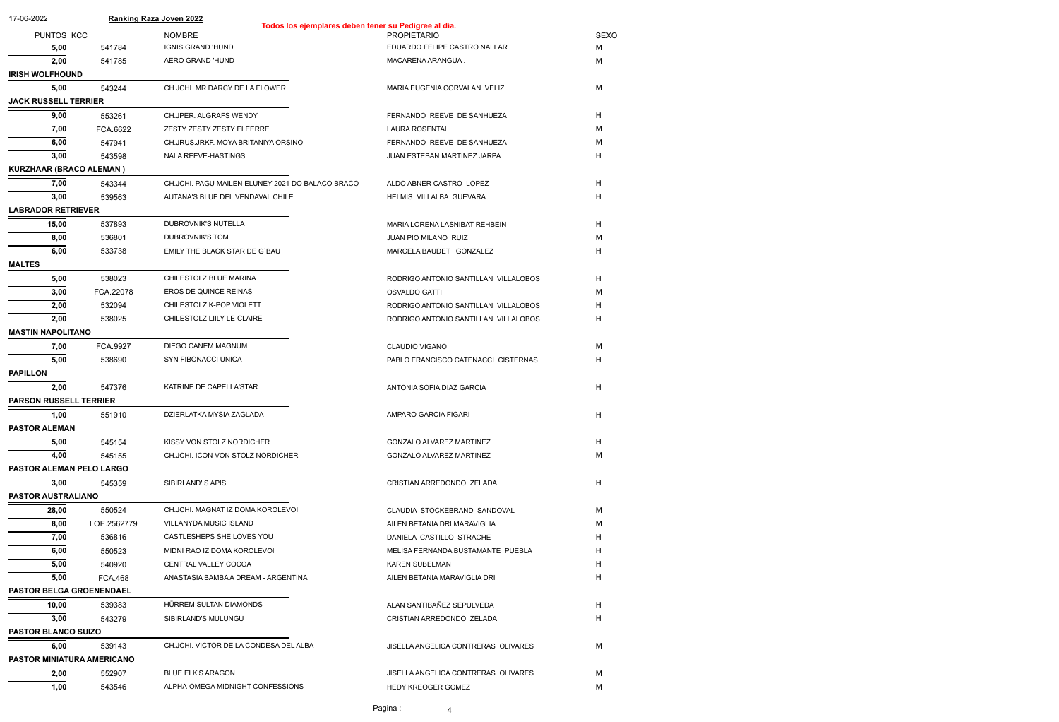| 17-06-2022                    |                            | <b>Ranking Raza Joven 2022</b><br>Todos los ejemplares deben tener su Pedigree al día. |                                      |             |  |  |  |
|-------------------------------|----------------------------|----------------------------------------------------------------------------------------|--------------------------------------|-------------|--|--|--|
| <b>PUNTOS KCC</b>             |                            | <b>NOMBRE</b>                                                                          | <b>PROPIETARIO</b>                   | <b>SEXO</b> |  |  |  |
| 5,00                          | 541784                     | <b>IGNIS GRAND 'HUND</b>                                                               | EDUARDO FELIPE CASTRO NALLAR         | М           |  |  |  |
| 2,00                          | 541785                     | AERO GRAND 'HUND                                                                       | MACARENA ARANGUA.                    | M           |  |  |  |
| <b>IRISH WOLFHOUND</b>        |                            |                                                                                        |                                      |             |  |  |  |
| 5,00                          | 543244                     | CH.JCHI. MR DARCY DE LA FLOWER                                                         | MARIA EUGENIA CORVALAN VELIZ         | M           |  |  |  |
| <b>JACK RUSSELL TERRIER</b>   |                            |                                                                                        |                                      |             |  |  |  |
| 9,00                          | 553261                     | CH.JPER. ALGRAFS WENDY                                                                 | FERNANDO REEVE DE SANHUEZA           | H           |  |  |  |
| 7,00                          | FCA.6622                   | ZESTY ZESTY ZESTY ELEERRE                                                              | <b>LAURA ROSENTAL</b>                | M           |  |  |  |
| 6,00                          | 547941                     | CH.JRUS.JRKF. MOYA BRITANIYA ORSINO                                                    | FERNANDO REEVE DE SANHUEZA           | M           |  |  |  |
| 3,00                          | 543598                     | NALA REEVE-HASTINGS                                                                    | JUAN ESTEBAN MARTINEZ JARPA          | Н           |  |  |  |
| KURZHAAR (BRACO ALEMAN)       |                            |                                                                                        |                                      |             |  |  |  |
| 7,00                          | 543344                     | CH.JCHI. PAGU MAILEN ELUNEY 2021 DO BALACO BRACO                                       | ALDO ABNER CASTRO LOPEZ              | H           |  |  |  |
| 3,00                          | 539563                     | AUTANA'S BLUE DEL VENDAVAL CHILE                                                       | HELMIS VILLALBA GUEVARA              | H           |  |  |  |
| <b>LABRADOR RETRIEVER</b>     |                            |                                                                                        |                                      |             |  |  |  |
| 15,00                         | 537893                     | DUBROVNIK'S NUTELLA                                                                    | MARIA LORENA LASNIBAT REHBEIN        | H           |  |  |  |
| 8,00                          | 536801                     | DUBROVNIK'S TOM                                                                        | JUAN PIO MILANO RUIZ                 | M           |  |  |  |
| 6,00                          | 533738                     | EMILY THE BLACK STAR DE G'BAU                                                          | MARCELA BAUDET GONZALEZ              | Н           |  |  |  |
| <b>MALTES</b>                 |                            |                                                                                        |                                      |             |  |  |  |
| 5,00                          | 538023                     | CHILESTOLZ BLUE MARINA                                                                 | RODRIGO ANTONIO SANTILLAN VILLALOBOS | H           |  |  |  |
| 3,00                          | FCA.22078                  | EROS DE QUINCE REINAS                                                                  | <b>OSVALDO GATTI</b>                 | M           |  |  |  |
| 2,00                          | 532094                     | CHILESTOLZ K-POP VIOLETT                                                               | RODRIGO ANTONIO SANTILLAN VILLALOBOS | H           |  |  |  |
| 2,00                          | 538025                     | CHILESTOLZ LIILY LE-CLAIRE                                                             | RODRIGO ANTONIO SANTILLAN VILLALOBOS | Н           |  |  |  |
| <b>MASTIN NAPOLITANO</b>      |                            |                                                                                        |                                      |             |  |  |  |
| 7,00                          | FCA.9927                   | DIEGO CANEM MAGNUM                                                                     | <b>CLAUDIO VIGANO</b>                | M           |  |  |  |
| 5,00                          | 538690                     | SYN FIBONACCI UNICA                                                                    | PABLO FRANCISCO CATENACCI CISTERNAS  | H           |  |  |  |
| <b>PAPILLON</b>               |                            |                                                                                        |                                      |             |  |  |  |
| 2,00                          | 547376                     | KATRINE DE CAPELLA'STAR                                                                | ANTONIA SOFIA DIAZ GARCIA            | H           |  |  |  |
| <b>PARSON RUSSELL TERRIER</b> |                            |                                                                                        |                                      |             |  |  |  |
| 1,00                          | 551910                     | DZIERLATKA MYSIA ZAGLADA                                                               | AMPARO GARCIA FIGARI                 | H           |  |  |  |
| <b>PASTOR ALEMAN</b>          |                            |                                                                                        |                                      |             |  |  |  |
| 5,00                          | 545154                     | KISSY VON STOLZ NORDICHER                                                              | GONZALO ALVAREZ MARTINEZ             | H           |  |  |  |
| 4,00                          | 545155                     | CH.JCHI. ICON VON STOLZ NORDICHER                                                      | <b>GONZALO ALVAREZ MARTINEZ</b>      | M           |  |  |  |
| PASTOR ALEMAN PELO LARGO      |                            |                                                                                        |                                      |             |  |  |  |
| 3,00                          | 545359                     | SIBIRLAND'S APIS                                                                       | CRISTIAN ARREDONDO ZELADA            | H           |  |  |  |
| PASTOR AUSTRALIANO            |                            |                                                                                        |                                      |             |  |  |  |
| 28,00                         | 550524                     | CH.JCHI. MAGNAT IZ DOMA KOROLEVOI                                                      | CLAUDIA STOCKEBRAND SANDOVAL         | M           |  |  |  |
| 8,00                          | LOE.2562779                | VILLANYDA MUSIC ISLAND                                                                 | AILEN BETANIA DRI MARAVIGLIA         | M           |  |  |  |
| 7,00                          | 536816                     | CASTLESHEPS SHE LOVES YOU                                                              | DANIELA CASTILLO STRACHE             | Н           |  |  |  |
| 6,00                          | 550523                     | MIDNI RAO IZ DOMA KOROLEVOI                                                            | MELISA FERNANDA BUSTAMANTE PUEBLA    | H           |  |  |  |
| 5,00                          | 540920                     | CENTRAL VALLEY COCOA                                                                   | <b>KAREN SUBELMAN</b>                | Н           |  |  |  |
| 5,00                          | <b>FCA.468</b>             | ANASTASIA BAMBA A DREAM - ARGENTINA                                                    | AILEN BETANIA MARAVIGLIA DRI         | Н           |  |  |  |
| PASTOR BELGA GROENENDAEL      |                            |                                                                                        |                                      |             |  |  |  |
| 10,00                         | 539383                     | HÜRREM SULTAN DIAMONDS                                                                 | ALAN SANTIBAÑEZ SEPULVEDA            | H           |  |  |  |
| 3,00                          | 543279                     | SIBIRLAND'S MULUNGU                                                                    | CRISTIAN ARREDONDO ZELADA            | Н           |  |  |  |
|                               | <b>PASTOR BLANCO SUIZO</b> |                                                                                        |                                      |             |  |  |  |
| 6,00                          | 539143                     | CH.JCHI. VICTOR DE LA CONDESA DEL ALBA                                                 | JISELLA ANGELICA CONTRERAS OLIVARES  | M           |  |  |  |
| PASTOR MINIATURA AMERICANO    |                            |                                                                                        |                                      |             |  |  |  |
| 2,00                          | 552907                     | <b>BLUE ELK'S ARAGON</b>                                                               | JISELLA ANGELICA CONTRERAS OLIVARES  | M           |  |  |  |
| 1,00                          | 543546                     | ALPHA-OMEGA MIDNIGHT CONFESSIONS                                                       | <b>HEDY KREOGER GOMEZ</b>            | M           |  |  |  |
|                               |                            |                                                                                        |                                      |             |  |  |  |

Pagina : 4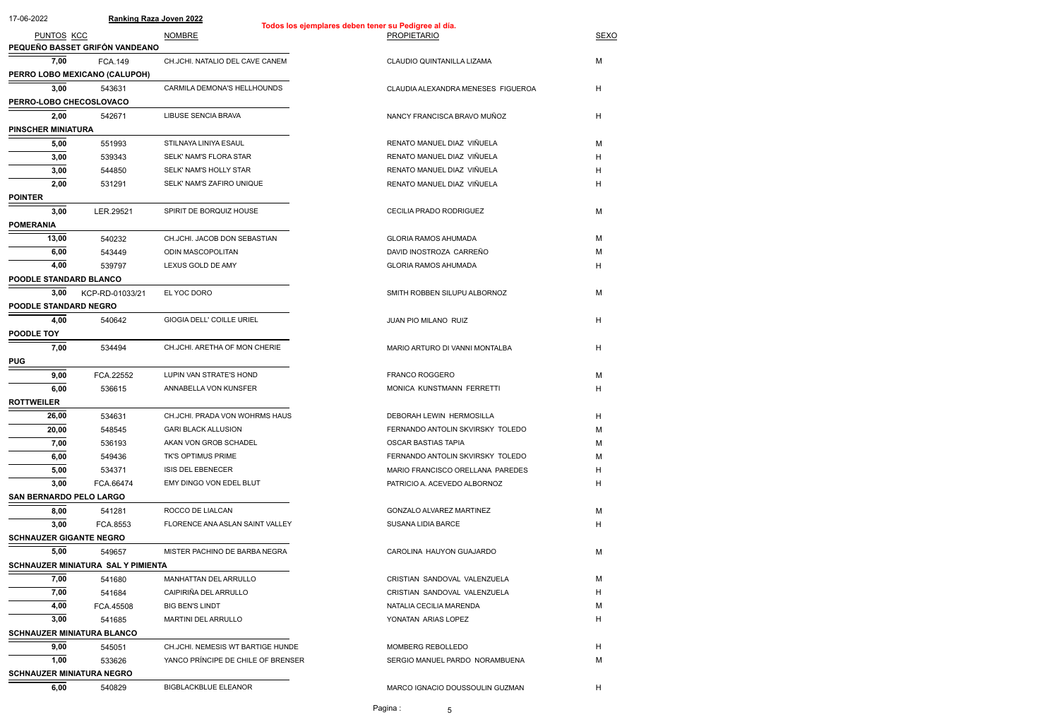| 17-06-2022                        |                                           | <b>Ranking Raza Joven 2022</b>     | Todos los ejemplares deben tener su Pedigree al día. |                           |
|-----------------------------------|-------------------------------------------|------------------------------------|------------------------------------------------------|---------------------------|
| PUNTOS KCC                        |                                           | <b>NOMBRE</b>                      | <b>PROPIETARIO</b>                                   | <b>SEXO</b>               |
|                                   | PEQUEÑO BASSET GRIFÓN VANDEANO            |                                    |                                                      |                           |
| 7,00                              | <b>FCA.149</b>                            | CH.JCHI. NATALIO DEL CAVE CANEM    | CLAUDIO QUINTANILLA LIZAMA                           | M                         |
|                                   | PERRO LOBO MEXICANO (CALUPOH)             |                                    |                                                      |                           |
| 3,00                              | 543631                                    | CARMILA DEMONA'S HELLHOUNDS        | CLAUDIA ALEXANDRA MENESES FIGUEROA                   | H                         |
| PERRO-LOBO CHECOSLOVACO           |                                           |                                    |                                                      |                           |
| 2,00                              | 542671                                    | <b>LIBUSE SENCIA BRAVA</b>         | NANCY FRANCISCA BRAVO MUÑOZ                          | H                         |
| <b>PINSCHER MINIATURA</b>         |                                           |                                    |                                                      |                           |
| 5,00                              | 551993                                    | STILNAYA LINIYA ESAUL              | RENATO MANUEL DIAZ VIÑUELA                           |                           |
|                                   |                                           | SELK' NAM'S FLORA STAR             |                                                      | M                         |
| 3,00                              | 539343                                    |                                    | RENATO MANUEL DIAZ VIÑUELA                           | H                         |
| 3,00                              | 544850                                    | SELK' NAM'S HOLLY STAR             | RENATO MANUEL DIAZ VIÑUELA                           | H                         |
| 2,00                              | 531291                                    | SELK' NAM'S ZAFIRO UNIQUE          | RENATO MANUEL DIAZ VIÑUELA                           | Н                         |
| <b>POINTER</b>                    |                                           |                                    |                                                      |                           |
| 3,00                              | LER.29521                                 | SPIRIT DE BORQUIZ HOUSE            | CECILIA PRADO RODRIGUEZ                              | M                         |
| <b>POMERANIA</b>                  |                                           |                                    |                                                      |                           |
| 13,00                             | 540232                                    | CH.JCHI. JACOB DON SEBASTIAN       | <b>GLORIA RAMOS AHUMADA</b>                          | M                         |
| 6,00                              | 543449                                    | ODIN MASCOPOLITAN                  | DAVID INOSTROZA CARREÑO                              | м                         |
| 4,00                              | 539797                                    | LEXUS GOLD DE AMY                  | <b>GLORIA RAMOS AHUMADA</b>                          | H                         |
| POODLE STANDARD BLANCO            |                                           |                                    |                                                      |                           |
| 3,00                              | KCP-RD-01033/21                           | EL YOC DORO                        | SMITH ROBBEN SILUPU ALBORNOZ                         | M                         |
| <b>POODLE STANDARD NEGRO</b>      |                                           |                                    |                                                      |                           |
| 4,00                              | 540642                                    | GIOGIA DELL' COILLE URIEL          | JUAN PIO MILANO RUIZ                                 | H                         |
| POODLE TOY                        |                                           |                                    |                                                      |                           |
| 7,00                              | 534494                                    | CH.JCHI. ARETHA OF MON CHERIE      | MARIO ARTURO DI VANNI MONTALBA                       | H                         |
| <b>PUG</b>                        |                                           |                                    |                                                      |                           |
| 9,00                              | FCA.22552                                 | LUPIN VAN STRATE'S HOND            | <b>FRANCO ROGGERO</b>                                | M                         |
| 6,00                              | 536615                                    | ANNABELLA VON KUNSFER              | MONICA KUNSTMANN FERRETTI                            | H                         |
| <b>ROTTWEILER</b>                 |                                           |                                    |                                                      |                           |
| 26,00                             | 534631                                    | CH.JCHI. PRADA VON WOHRMS HAUS     | DEBORAH LEWIN HERMOSILLA                             | H                         |
| 20,00                             | 548545                                    | <b>GARI BLACK ALLUSION</b>         | FERNANDO ANTOLIN SKVIRSKY TOLEDO                     | M                         |
| 7,00                              | 536193                                    | AKAN VON GROB SCHADEL              | <b>OSCAR BASTIAS TAPIA</b>                           | м                         |
| 6,00                              | 549436                                    | TK'S OPTIMUS PRIME                 | FERNANDO ANTOLIN SKVIRSKY TOLEDO                     | м                         |
| 5,00                              | 534371                                    | <b>ISIS DEL EBENECER</b>           | MARIO FRANCISCO ORELLANA PAREDES                     | H                         |
| 3,00                              |                                           | EMY DINGO VON EDEL BLUT            | PATRICIO A. ACEVEDO ALBORNOZ                         | H                         |
| <b>SAN BERNARDO PELO LARGO</b>    | FCA.66474                                 |                                    |                                                      |                           |
|                                   |                                           |                                    |                                                      |                           |
| 8,00                              | 541281                                    | ROCCO DE LIALCAN                   | <b>GONZALO ALVAREZ MARTINEZ</b>                      | M                         |
| 3,00                              | FCA.8553                                  | FLORENCE ANA ASLAN SAINT VALLEY    | <b>SUSANA LIDIA BARCE</b>                            | H                         |
| <b>SCHNAUZER GIGANTE NEGRO</b>    |                                           |                                    |                                                      |                           |
| 5,00                              | 549657                                    | MISTER PACHINO DE BARBA NEGRA      | CAROLINA HAUYON GUAJARDO                             | M                         |
|                                   | <b>SCHNAUZER MINIATURA SAL Y PIMIENTA</b> |                                    |                                                      |                           |
| 7,00                              | 541680                                    | <b>MANHATTAN DEL ARRULLO</b>       | CRISTIAN SANDOVAL VALENZUELA                         | M                         |
| 7,00                              | 541684                                    | CAIPIRIÑA DEL ARRULLO              | CRISTIAN SANDOVAL VALENZUELA                         | H                         |
| 4,00                              | FCA.45508                                 | <b>BIG BEN'S LINDT</b>             | NATALIA CECILIA MARENDA                              | M                         |
| 3,00                              | 541685                                    | <b>MARTINI DEL ARRULLO</b>         | YONATAN ARIAS LOPEZ                                  | H                         |
| <b>SCHNAUZER MINIATURA BLANCO</b> |                                           |                                    |                                                      |                           |
| 9,00                              | 545051                                    | CH.JCHI. NEMESIS WT BARTIGE HUNDE  | MOMBERG REBOLLEDO                                    | H                         |
| 1,00                              | 533626                                    | YANCO PRÍNCIPE DE CHILE OF BRENSER | SERGIO MANUEL PARDO NORAMBUENA                       | М                         |
| <b>SCHNAUZER MINIATURA NEGRO</b>  |                                           |                                    |                                                      |                           |
| 6,00                              | 540829                                    | <b>BIGBLACKBLUE ELEANOR</b>        | MARCO IGNACIO DOUSSOULIN GUZMAN                      | $\boldsymbol{\mathsf{H}}$ |
|                                   |                                           |                                    | Pagina:<br>5.                                        |                           |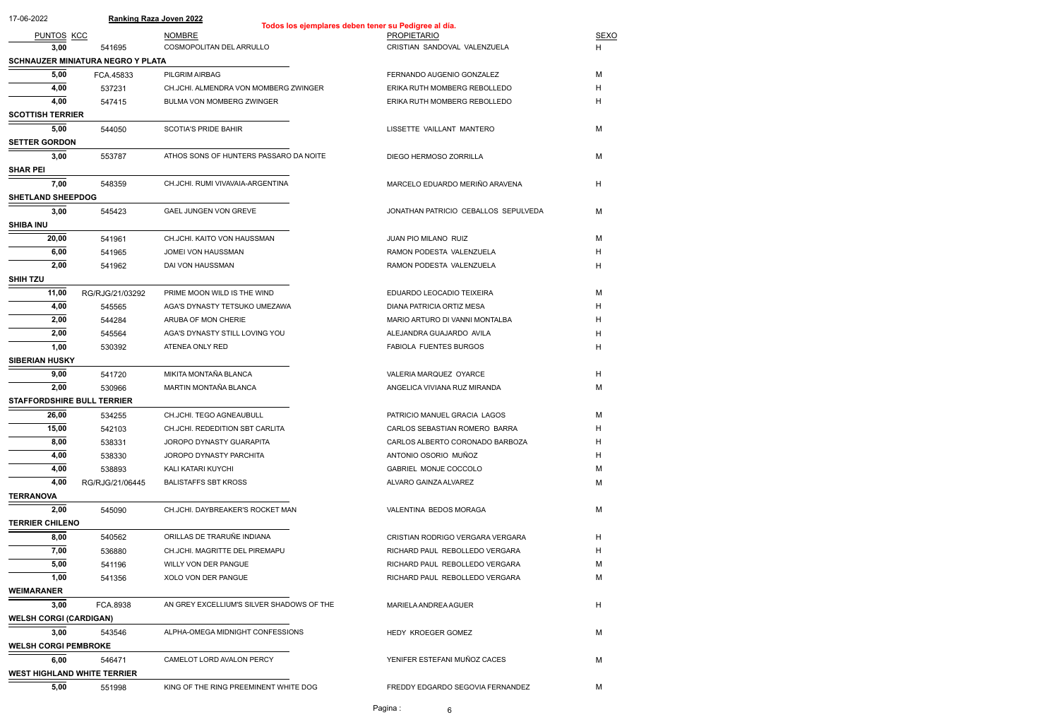| 17-06-2022                         |                                          | <b>Ranking Raza Joven 2022</b>            | Todos los ejemplares deben tener su Pedigree al día. |             |
|------------------------------------|------------------------------------------|-------------------------------------------|------------------------------------------------------|-------------|
| PUNTOS KCC                         |                                          | <b>NOMBRE</b>                             | <b>PROPIETARIO</b>                                   | <b>SEXO</b> |
| 3,00                               | 541695                                   | COSMOPOLITAN DEL ARRULLO                  | CRISTIAN SANDOVAL VALENZUELA                         | H.          |
|                                    | <b>SCHNAUZER MINIATURA NEGRO Y PLATA</b> |                                           |                                                      |             |
| 5,00                               | FCA.45833                                | PILGRIM AIRBAG                            | FERNANDO AUGENIO GONZALEZ                            | M           |
| 4,00                               | 537231                                   | CH.JCHI. ALMENDRA VON MOMBERG ZWINGER     | ERIKA RUTH MOMBERG REBOLLEDO                         | H           |
| 4,00                               | 547415                                   | BULMA VON MOMBERG ZWINGER                 | ERIKA RUTH MOMBERG REBOLLEDO                         | Н           |
| <b>SCOTTISH TERRIER</b>            |                                          |                                           |                                                      |             |
| 5,00                               | 544050                                   | <b>SCOTIA'S PRIDE BAHIR</b>               | LISSETTE VAILLANT MANTERO                            | M           |
| <b>SETTER GORDON</b>               |                                          |                                           |                                                      |             |
| 3,00                               | 553787                                   | ATHOS SONS OF HUNTERS PASSARO DA NOITE    | DIEGO HERMOSO ZORRILLA                               | M           |
| <b>SHAR PEI</b>                    |                                          |                                           |                                                      |             |
| 7,00                               | 548359                                   | CH.JCHI. RUMI VIVAVAIA-ARGENTINA          | MARCELO EDUARDO MERIÑO ARAVENA                       | H           |
| <b>SHETLAND SHEEPDOG</b>           |                                          |                                           |                                                      |             |
| 3,00                               | 545423                                   | <b>GAEL JUNGEN VON GREVE</b>              | JONATHAN PATRICIO CEBALLOS SEPULVEDA                 | M           |
| <b>SHIBA INU</b>                   |                                          |                                           |                                                      |             |
| 20,00                              | 541961                                   | CH.JCHI. KAITO VON HAUSSMAN               | JUAN PIO MILANO RUIZ                                 | M           |
| 6,00                               | 541965                                   | JOMEI VON HAUSSMAN                        | RAMON PODESTA VALENZUELA                             | H           |
| 2,00                               | 541962                                   | DAI VON HAUSSMAN                          | RAMON PODESTA VALENZUELA                             | H           |
| <b>SHIH TZU</b>                    |                                          |                                           |                                                      |             |
| 11,00                              | RG/RJG/21/03292                          | PRIME MOON WILD IS THE WIND               | EDUARDO LEOCADIO TEIXEIRA                            | M           |
| 4,00                               | 545565                                   | AGA'S DYNASTY TETSUKO UMEZAWA             | DIANA PATRICIA ORTIZ MESA                            | H           |
| 2,00                               | 544284                                   | ARUBA OF MON CHERIE                       | MARIO ARTURO DI VANNI MONTALBA                       | H           |
| 2,00                               | 545564                                   | AGA'S DYNASTY STILL LOVING YOU            | ALEJANDRA GUAJARDO AVILA                             | H           |
| 1,00                               | 530392                                   | ATENEA ONLY RED                           | <b>FABIOLA FUENTES BURGOS</b>                        | H           |
| <b>SIBERIAN HUSKY</b>              |                                          |                                           |                                                      |             |
| 9,00                               | 541720                                   | MIKITA MONTAÑA BLANCA                     | VALERIA MARQUEZ OYARCE                               | H           |
| 2,00                               | 530966                                   | MARTIN MONTAÑA BLANCA                     | ANGELICA VIVIANA RUZ MIRANDA                         | М           |
| <b>STAFFORDSHIRE BULL TERRIER</b>  |                                          |                                           |                                                      |             |
| 26,00                              | 534255                                   | CH.JCHI. TEGO AGNEAUBULL                  | PATRICIO MANUEL GRACIA LAGOS                         | M           |
| 15,00                              | 542103                                   | CH.JCHI. REDEDITION SBT CARLITA           | CARLOS SEBASTIAN ROMERO BARRA                        | H           |
| 8,00                               | 538331                                   | JOROPO DYNASTY GUARAPITA                  | CARLOS ALBERTO CORONADO BARBOZA                      | H           |
| 4,00                               | 538330                                   | JOROPO DYNASTY PARCHITA                   | ANTONIO OSORIO MUÑOZ                                 | H           |
| 4,00                               | 538893                                   | KALI KATARI KUYCHI                        | GABRIEL MONJE COCCOLO                                | м           |
| 4,00                               | RG/RJG/21/06445                          | <b>BALISTAFFS SBT KROSS</b>               | ALVARO GAINZA ALVAREZ                                | м           |
| <b>TERRANOVA</b>                   |                                          |                                           |                                                      |             |
| 2,00                               | 545090                                   | CH.JCHI. DAYBREAKER'S ROCKET MAN          | VALENTINA BEDOS MORAGA                               | M           |
| <b>TERRIER CHILENO</b>             |                                          |                                           |                                                      |             |
| 8,00                               | 540562                                   | ORILLAS DE TRARUÑE INDIANA                | CRISTIAN RODRIGO VERGARA VERGARA                     | H.          |
| 7,00                               | 536880                                   | CH.JCHI. MAGRITTE DEL PIREMAPU            | RICHARD PAUL REBOLLEDO VERGARA                       | H           |
| 5,00                               | 541196                                   | WILLY VON DER PANGUE                      | RICHARD PAUL REBOLLEDO VERGARA                       | м           |
| 1,00                               | 541356                                   | XOLO VON DER PANGUE                       | RICHARD PAUL REBOLLEDO VERGARA                       | M           |
| <b>WEIMARANER</b>                  |                                          |                                           |                                                      |             |
| 3,00                               | FCA.8938                                 | AN GREY EXCELLIUM'S SILVER SHADOWS OF THE | MARIELA ANDREA AGUER                                 | H           |
| <b>WELSH CORGI (CARDIGAN)</b>      |                                          |                                           |                                                      |             |
| 3,00                               | 543546                                   | ALPHA-OMEGA MIDNIGHT CONFESSIONS          | HEDY KROEGER GOMEZ                                   | M           |
| <b>WELSH CORGI PEMBROKE</b>        |                                          |                                           |                                                      |             |
| 6,00                               | 546471                                   | CAMELOT LORD AVALON PERCY                 | YENIFER ESTEFANI MUÑOZ CACES                         | M           |
| <b>WEST HIGHLAND WHITE TERRIER</b> |                                          |                                           |                                                      |             |
| 5,00                               | 551998                                   | KING OF THE RING PREEMINENT WHITE DOG     | FREDDY EDGARDO SEGOVIA FERNANDEZ                     | M           |
|                                    |                                          |                                           | Pagina:<br>6.                                        |             |